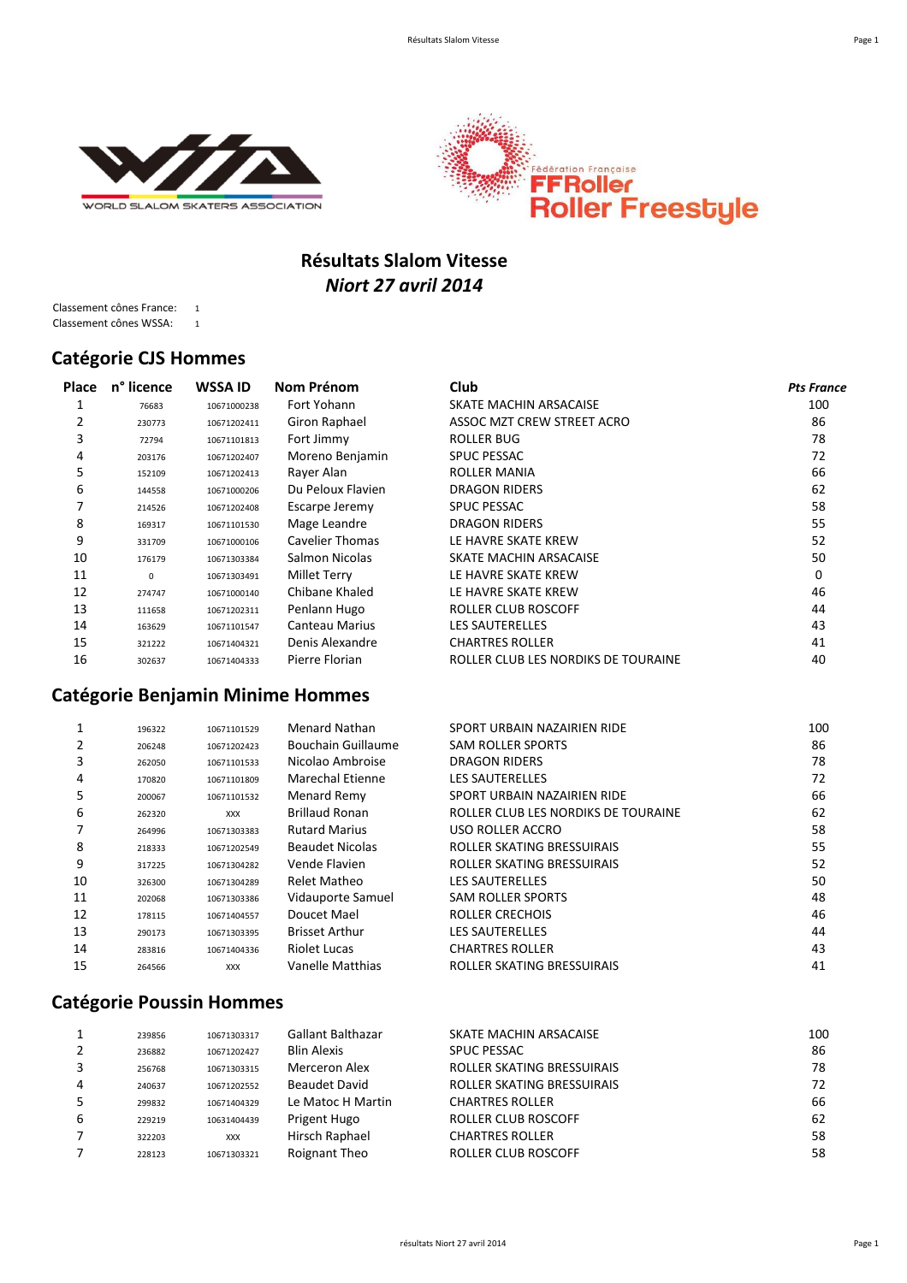



# **Résultats Slalom Vitesse** *Niort 27 avril 2014*

Classement cônes France: 1 Classement cônes WSSA: 1

#### **Catégorie CJS Hommes**

| <b>Place</b> | n° licence  | <b>WSSA ID</b> | Nom Prénom        | Club                                | <b>Pts France</b> |
|--------------|-------------|----------------|-------------------|-------------------------------------|-------------------|
|              | 76683       | 10671000238    | Fort Yohann       | SKATE MACHIN ARSACAISE              | 100               |
| 2            | 230773      | 10671202411    | Giron Raphael     | ASSOC MZT CREW STREET ACRO          | 86                |
| 3            | 72794       | 10671101813    | Fort Jimmy        | ROLLER BUG                          | 78                |
| 4            | 203176      | 10671202407    | Moreno Benjamin   | <b>SPUC PESSAC</b>                  | 72                |
| 5            | 152109      | 10671202413    | Rayer Alan        | ROLLER MANIA                        | 66                |
| 6            | 144558      | 10671000206    | Du Peloux Flavien | DRAGON RIDERS                       | 62                |
|              | 214526      | 10671202408    | Escarpe Jeremy    | <b>SPUC PESSAC</b>                  | 58                |
| 8            | 169317      | 10671101530    | Mage Leandre      | <b>DRAGON RIDERS</b>                | 55                |
| 9            | 331709      | 10671000106    | Cavelier Thomas   | LE HAVRE SKATE KREW                 | 52                |
| 10           | 176179      | 10671303384    | Salmon Nicolas    | SKATE MACHIN ARSACAISE              | 50                |
| 11           | $\mathbf 0$ | 10671303491    | Millet Terry      | LE HAVRE SKATE KREW                 | $\Omega$          |
| 12           | 274747      | 10671000140    | Chibane Khaled    | LE HAVRE SKATE KREW                 | 46                |
| 13           | 111658      | 10671202311    | Penlann Hugo      | ROLLER CLUB ROSCOFF                 | 44                |
| 14           | 163629      | 10671101547    | Canteau Marius    | <b>LES SAUTERELLES</b>              | 43                |
| 15           | 321222      | 10671404321    | Denis Alexandre   | <b>CHARTRES ROLLER</b>              | 41                |
| 16           | 302637      | 10671404333    | Pierre Florian    | ROLLER CLUB LES NORDIKS DE TOURAINE | 40                |

### **Catégorie Benjamin Minime Hommes**

|    | 196322 | 10671101529 | Menard Nathan          | SPORT URBAIN NAZAIRIEN RIDE         | 100 |
|----|--------|-------------|------------------------|-------------------------------------|-----|
| 2  | 206248 | 10671202423 | Bouchain Guillaume     | <b>SAM ROLLER SPORTS</b>            | 86  |
| 3  | 262050 | 10671101533 | Nicolao Ambroise       | DRAGON RIDERS                       | 78  |
| 4  | 170820 | 10671101809 | Marechal Etienne       | <b>LES SAUTERELLES</b>              | 72  |
| 5  | 200067 | 10671101532 | Menard Remy            | SPORT URBAIN NAZAIRIEN RIDE         | 66  |
| 6  | 262320 | <b>XXX</b>  | <b>Brillaud Ronan</b>  | ROLLER CLUB LES NORDIKS DE TOURAINE | 62  |
|    | 264996 | 10671303383 | <b>Rutard Marius</b>   | USO ROLLER ACCRO                    | 58  |
| 8  | 218333 | 10671202549 | <b>Beaudet Nicolas</b> | ROLLER SKATING BRESSUIRAIS          | 55  |
| 9  | 317225 | 10671304282 | Vende Flavien          | ROLLER SKATING BRESSUIRAIS          | 52  |
| 10 | 326300 | 10671304289 | Relet Matheo           | <b>LES SAUTERELLES</b>              | 50  |
| 11 | 202068 | 10671303386 | Vidauporte Samuel      | <b>SAM ROLLER SPORTS</b>            | 48  |
| 12 | 178115 | 10671404557 | Doucet Mael            | ROLLER CRECHOIS                     | 46  |
| 13 | 290173 | 10671303395 | <b>Brisset Arthur</b>  | <b>LES SAUTERELLES</b>              | 44  |
| 14 | 283816 | 10671404336 | <b>Riolet Lucas</b>    | <b>CHARTRES ROLLER</b>              | 43  |
| 15 | 264566 | <b>XXX</b>  | Vanelle Matthias       | ROLLER SKATING BRESSUIRAIS          | 41  |

### **Catégorie Poussin Hommes**

|   | 239856 | 10671303317 | <b>Gallant Balthazar</b> | SKATE MACHIN ARSACAISE     | 100 |
|---|--------|-------------|--------------------------|----------------------------|-----|
|   | 236882 | 10671202427 | <b>Blin Alexis</b>       | <b>SPUC PESSAC</b>         | 86  |
|   | 256768 | 10671303315 | Merceron Alex            | ROLLER SKATING BRESSUIRAIS | 78  |
| 4 | 240637 | 10671202552 | Beaudet David            | ROLLER SKATING BRESSUIRAIS | 72  |
|   | 299832 | 10671404329 | Le Matoc H Martin        | <b>CHARTRES ROLLER</b>     | 66  |
| 6 | 229219 | 10631404439 | Prigent Hugo             | <b>ROLLER CLUB ROSCOFF</b> | 62  |
|   | 322203 | <b>XXX</b>  | Hirsch Raphael           | <b>CHARTRES ROLLER</b>     | 58  |
|   | 228123 | 10671303321 | Roignant Theo            | <b>ROLLER CLUB ROSCOFF</b> | 58  |
|   |        |             |                          |                            |     |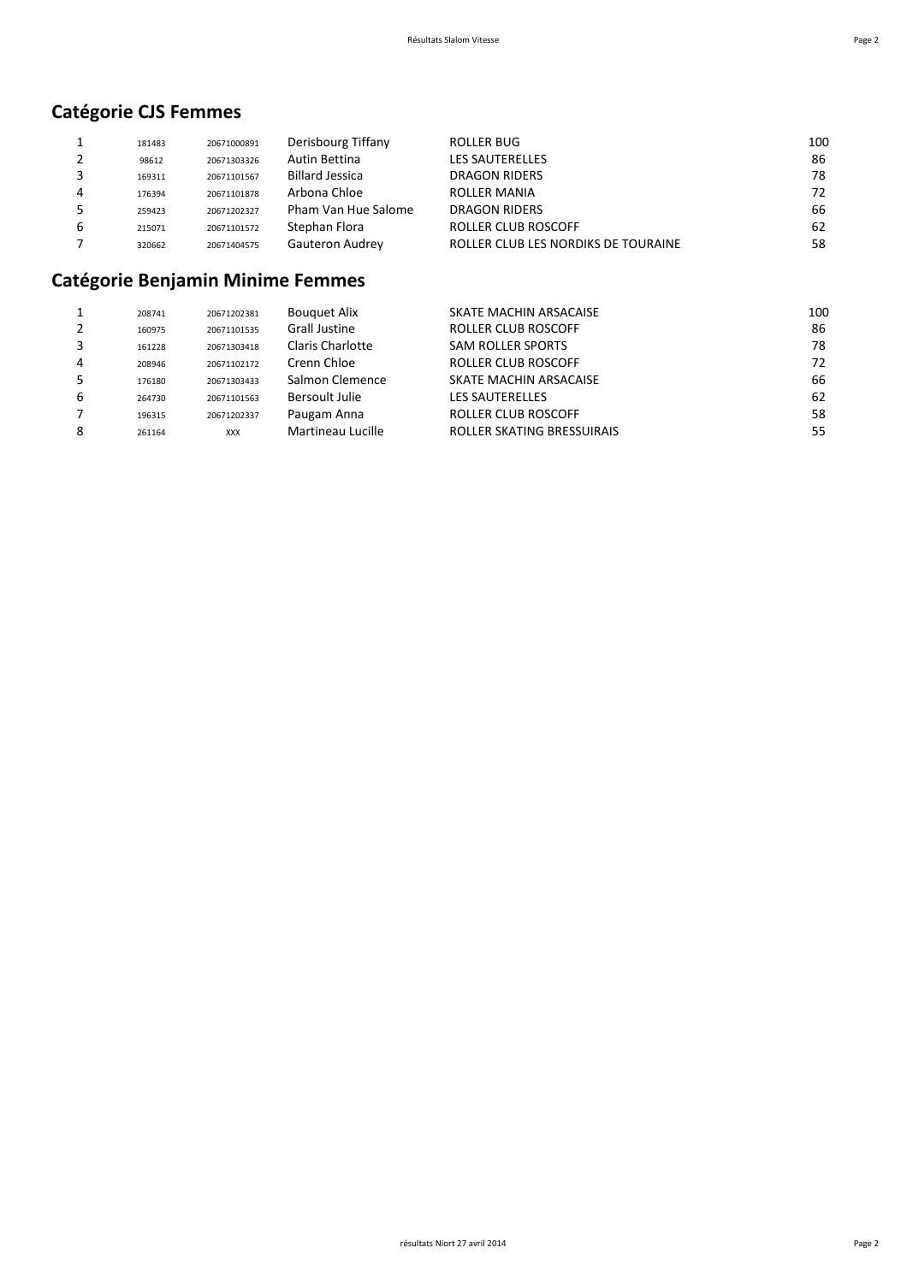# **Catégorie CJS Femmes**

|   | 181483 | 20671000891 | Derisbourg Tiffany     | ROLLER BUG                          | 100 |
|---|--------|-------------|------------------------|-------------------------------------|-----|
|   | 98612  | 20671303326 | Autin Bettina          | LES SAUTERELLES                     | 86  |
|   | 169311 | 20671101567 | <b>Billard Jessica</b> | DRAGON RIDERS                       | 78  |
|   | 176394 | 20671101878 | Arbona Chloe           | <b>ROLLER MANIA</b>                 | 72  |
|   | 259423 | 20671202327 | Pham Van Hue Salome    | <b>DRAGON RIDERS</b>                | 66  |
| b | 215071 | 20671101572 | Stephan Flora          | ROLLER CLUB ROSCOFF                 | 62  |
|   | 320662 | 20671404575 | Gauteron Audrey        | ROLLER CLUB LES NORDIKS DE TOURAINE | 58  |

# **Catégorie Benjamin Minime Femmes**

|   | 208741 | 20671202381 | <b>Bouguet Alix</b>     | SKATE MACHIN ARSACAISE            | 100 |
|---|--------|-------------|-------------------------|-----------------------------------|-----|
|   | 160975 | 20671101535 | <b>Grall Justine</b>    | <b>ROLLER CLUB ROSCOFF</b>        | 86  |
|   | 161228 | 20671303418 | <b>Claris Charlotte</b> | <b>SAM ROLLER SPORTS</b>          | 78  |
| 4 | 208946 | 20671102172 | Crenn Chloe             | <b>ROLLER CLUB ROSCOFF</b>        | 72  |
|   | 176180 | 20671303433 | Salmon Clemence         | SKATE MACHIN ARSACAISE            | 66  |
| 6 | 264730 | 20671101563 | Bersoult Julie          | <b>LES SAUTERELLES</b>            | 62  |
|   | 196315 | 20671202337 | Paugam Anna             | ROLLER CLUB ROSCOFF               | 58  |
| 8 | 261164 | <b>XXX</b>  | Martineau Lucille       | <b>ROLLER SKATING BRESSUIRAIS</b> | 55  |